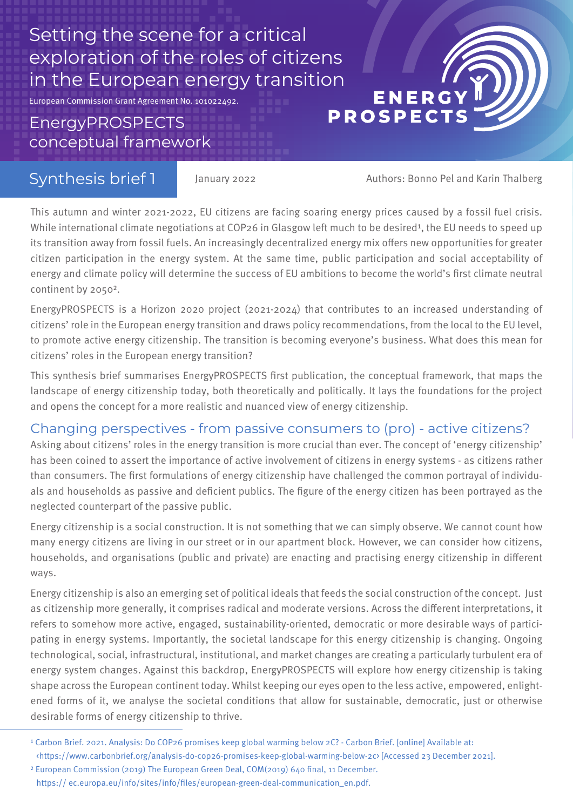# Setting the scene for a critical exploration of the roles of citizens in the European energy transition<br>ENERG<br>Energy PROSPECTS

European Commission Grant Agreement No. 101022492.

## EnergyPROSPECTS conceptual framework

## Synthesis brief 1

January 2022 Authors: Bonno Pel and Karin Thalberg

This autumn and winter 2021-2022, EU citizens are facing soaring energy prices caused by a fossil fuel crisis. While international climate negotiations at COP26 in Glasgow left much to be desired<sup>1</sup>, the EU needs to speed up its transition away from fossil fuels. An increasingly decentralized energy mix offers new opportunities for greater citizen participation in the energy system. At the same time, public participation and social acceptability of energy and climate policy will determine the success of EU ambitions to become the world's first climate neutral continent by 2050².

EnergyPROSPECTS is a Horizon 2020 project (2021-2024) that contributes to an increased understanding of citizens' role in the European energy transition and draws policy recommendations, from the local to the EU level, to promote active energy citizenship. The transition is becoming everyone's business. What does this mean for citizens' roles in the European energy transition?

This synthesis brief summarises EnergyPROSPECTS first publication, the conceptual framework, that maps the landscape of energy citizenship today, both theoretically and politically. It lays the foundations for the project and opens the concept for a more realistic and nuanced view of energy citizenship.

#### Changing perspectives - from passive consumers to (pro) - active citizens?

Asking about citizens' roles in the energy transition is more crucial than ever. The concept of 'energy citizenship' has been coined to assert the importance of active involvement of citizens in energy systems - as citizens rather than consumers. The first formulations of energy citizenship have challenged the common portrayal of individuals and households as passive and deficient publics. The figure of the energy citizen has been portrayed as the neglected counterpart of the passive public.

Energy citizenship is a social construction. It is not something that we can simply observe. We cannot count how many energy citizens are living in our street or in our apartment block. However, we can consider how citizens, households, and organisations (public and private) are enacting and practising energy citizenship in different ways.

Energy citizenship is also an emerging set of political ideals that feeds the social construction of the concept. Just as citizenship more generally, it comprises radical and moderate versions. Across the different interpretations, it refers to somehow more active, engaged, sustainability-oriented, democratic or more desirable ways of participating in energy systems. Importantly, the societal landscape for this energy citizenship is changing. Ongoing technological, social, infrastructural, institutional, and market changes are creating a particularly turbulent era of energy system changes. Against this backdrop, EnergyPROSPECTS will explore how energy citizenship is taking shape across the European continent today. Whilst keeping our eyes open to the less active, empowered, enlightened forms of it, we analyse the societal conditions that allow for sustainable, democratic, just or otherwise desirable forms of energy citizenship to thrive.

<sup>&</sup>lt;sup>1</sup> Carbon Brief. 2021. Analysis: Do COP26 promises keep global warming below 2C? - Carbon Brief. [online] Available at: <https://www.carbonbrief.org/analysis-do-cop26-promises-keep-global-warming-below-2c> [Accessed 23 December 2021].

https:// ec.europa.eu/info/sites/info/files/european-green-deal-communication\_en.pdf. ² European Commission (2019) The European Green Deal, COM(2019) 640 final, 11 December.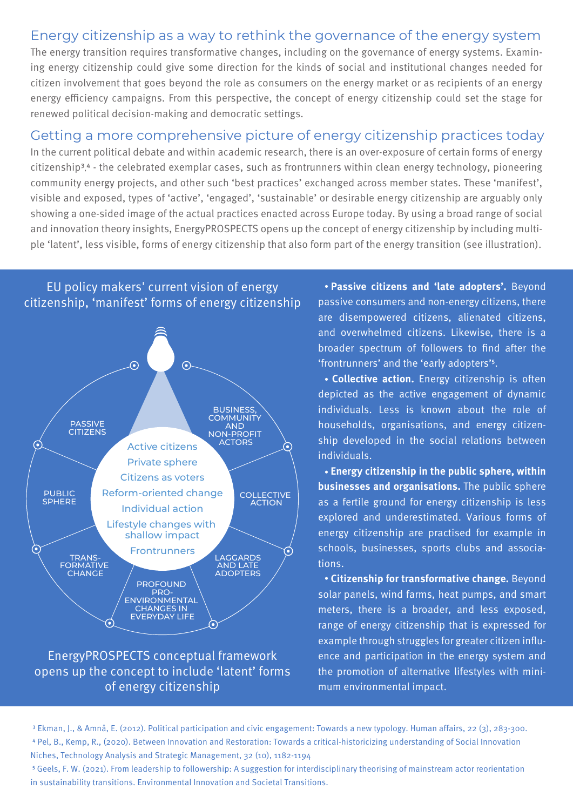#### Energy citizenship as a way to rethink the governance of the energy system

The energy transition requires transformative changes, including on the governance of energy systems. Examining energy citizenship could give some direction for the kinds of social and institutional changes needed for citizen involvement that goes beyond the role as consumers on the energy market or as recipients of an energy energy efficiency campaigns. From this perspective, the concept of energy citizenship could set the stage for renewed political decision-making and democratic settings.

#### Getting a more comprehensive picture of energy citizenship practices today

In the current political debate and within academic research, there is an over-exposure of certain forms of energy citizenship<sup>3,4</sup> - the celebrated exemplar cases, such as frontrunners within clean energy technology, pioneering community energy projects, and other such 'best practices' exchanged across member states. These 'manifest', visible and exposed, types of 'active', 'engaged', 'sustainable' or desirable energy citizenship are arguably only showing a one-sided image of the actual practices enacted across Europe today. By using a broad range of social and innovation theory insights, EnergyPROSPECTS opens up the concept of energy citizenship by including multiple 'latent', less visible, forms of energy citizenship that also form part of the energy transition (see illustration).



#### EnergyPROSPECTS conceptual framework opens up the concept to include 'latent' forms of energy citizenship

 **Passive citizens and 'late adopters'.** Beyond passive consumers and non-energy citizens, there are disempowered citizens, alienated citizens, and overwhelmed citizens. Likewise, there is a broader spectrum of followers to find after the 'frontrunners' and the 'early adopters'<sup>5</sup>.

 **Collective action.** Energy citizenship is often depicted as the active engagement of dynamic individuals. Less is known about the role of households, organisations, and energy citizenship developed in the social relations between individuals.

 **Energy citizenship in the public sphere, within businesses and organisations.** The public sphere as a fertile ground for energy citizenship is less explored and underestimated. Various forms of energy citizenship are practised for example in schools, businesses, sports clubs and associations.

 **Citizenship for transformative change.** Beyond solar panels, wind farms, heat pumps, and smart meters, there is a broader, and less exposed, range of energy citizenship that is expressed for example through struggles for greater citizen influence and participation in the energy system and the promotion of alternative lifestyles with minimum environmental impact.

³ Ekman, J., & Amnå, E. (2012). Political participation and civic engagement: Towards a new typology. Human affairs, 22 (3), 283-300. ⁴ Pel, B., Kemp, R., (2020). Between Innovation and Restoration: Towards a critical-historicizing understanding of Social Innovation Niches, Technology Analysis and Strategic Management, 32 (10), 1182-1194

⁵ Geels, F. W. (2021). From leadership to followership: A suggestion for interdisciplinary theorising of mainstream actor reorientation in sustainability transitions. Environmental Innovation and Societal Transitions.